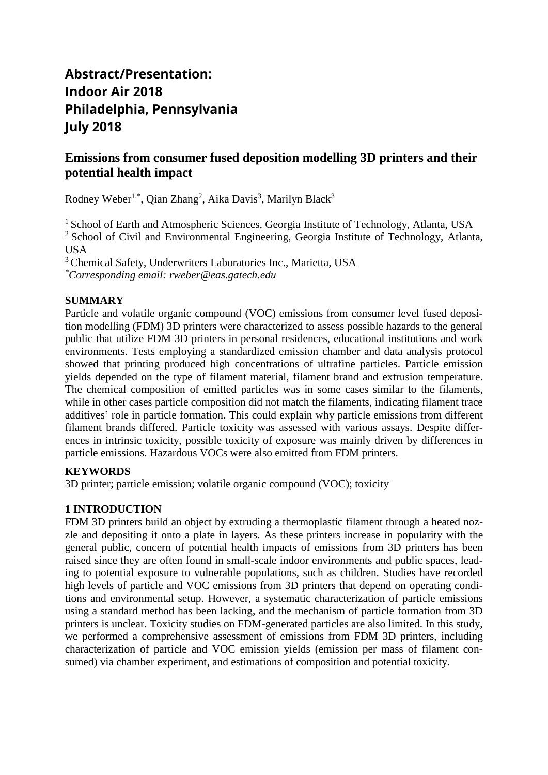# **Abstract/Presentation: Indoor Air 2018 Philadelphia, Pennsylvania July 2018**

## **Emissions from consumer fused deposition modelling 3D printers and their potential health impact**

Rodney Weber<sup>1,\*</sup>, Qian Zhang<sup>2</sup>, Aika Davis<sup>3</sup>, Marilyn Black<sup>3</sup>

<sup>1</sup> School of Earth and Atmospheric Sciences, Georgia Institute of Technology, Atlanta, USA  $2$  School of Civil and Environmental Engineering, Georgia Institute of Technology, Atlanta, USA

<sup>3</sup>Chemical Safety, Underwriters Laboratories Inc., Marietta, USA *\*Corresponding email: rweber@eas.gatech.edu*

## **SUMMARY**

Particle and volatile organic compound (VOC) emissions from consumer level fused deposition modelling (FDM) 3D printers were characterized to assess possible hazards to the general public that utilize FDM 3D printers in personal residences, educational institutions and work environments. Tests employing a standardized emission chamber and data analysis protocol showed that printing produced high concentrations of ultrafine particles. Particle emission yields depended on the type of filament material, filament brand and extrusion temperature. The chemical composition of emitted particles was in some cases similar to the filaments, while in other cases particle composition did not match the filaments, indicating filament trace additives' role in particle formation. This could explain why particle emissions from different filament brands differed. Particle toxicity was assessed with various assays. Despite differences in intrinsic toxicity, possible toxicity of exposure was mainly driven by differences in particle emissions. Hazardous VOCs were also emitted from FDM printers.

### **KEYWORDS**

3D printer; particle emission; volatile organic compound (VOC); toxicity

## **1 INTRODUCTION**

FDM 3D printers build an object by extruding a thermoplastic filament through a heated nozzle and depositing it onto a plate in layers. As these printers increase in popularity with the general public, concern of potential health impacts of emissions from 3D printers has been raised since they are often found in small-scale indoor environments and public spaces, leading to potential exposure to vulnerable populations, such as children. Studies have recorded high levels of particle and VOC emissions from 3D printers that depend on operating conditions and environmental setup. However, a systematic characterization of particle emissions using a standard method has been lacking, and the mechanism of particle formation from 3D printers is unclear. Toxicity studies on FDM-generated particles are also limited. In this study, we performed a comprehensive assessment of emissions from FDM 3D printers, including characterization of particle and VOC emission yields (emission per mass of filament consumed) via chamber experiment, and estimations of composition and potential toxicity.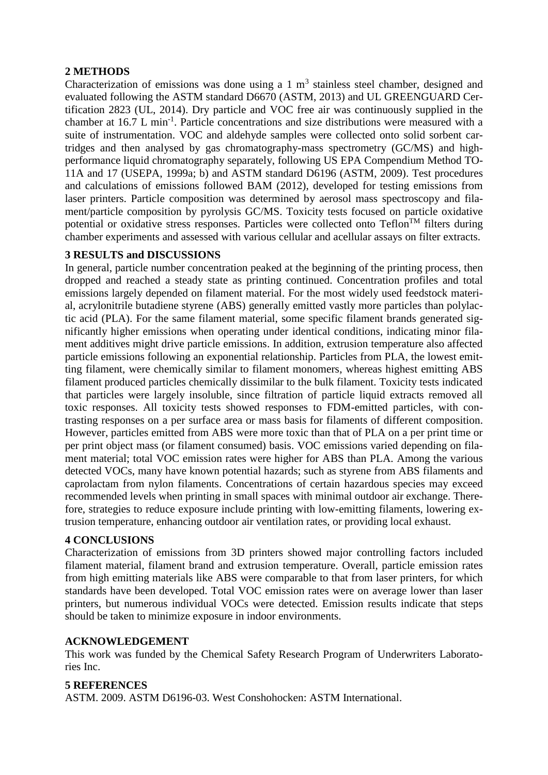### **2 METHODS**

Characterization of emissions was done using a  $1 \text{ m}^3$  stainless steel chamber, designed and evaluated following the ASTM standard D6670 (ASTM, 2013) and UL GREENGUARD Certification 2823 (UL, 2014). Dry particle and VOC free air was continuously supplied in the chamber at 16.7 L min<sup>-1</sup>. Particle concentrations and size distributions were measured with a suite of instrumentation. VOC and aldehyde samples were collected onto solid sorbent cartridges and then analysed by gas chromatography-mass spectrometry (GC/MS) and highperformance liquid chromatography separately, following US EPA Compendium Method TO-11A and 17 (USEPA, 1999a; b) and ASTM standard D6196 (ASTM, 2009). Test procedures and calculations of emissions followed BAM (2012), developed for testing emissions from laser printers. Particle composition was determined by aerosol mass spectroscopy and filament/particle composition by pyrolysis GC/MS. Toxicity tests focused on particle oxidative potential or oxidative stress responses. Particles were collected onto Teflon<sup>TM</sup> filters during chamber experiments and assessed with various cellular and acellular assays on filter extracts.

### **3 RESULTS and DISCUSSIONS**

In general, particle number concentration peaked at the beginning of the printing process, then dropped and reached a steady state as printing continued. Concentration profiles and total emissions largely depended on filament material. For the most widely used feedstock material, acrylonitrile butadiene styrene (ABS) generally emitted vastly more particles than polylactic acid (PLA). For the same filament material, some specific filament brands generated significantly higher emissions when operating under identical conditions, indicating minor filament additives might drive particle emissions. In addition, extrusion temperature also affected particle emissions following an exponential relationship. Particles from PLA, the lowest emitting filament, were chemically similar to filament monomers, whereas highest emitting ABS filament produced particles chemically dissimilar to the bulk filament. Toxicity tests indicated that particles were largely insoluble, since filtration of particle liquid extracts removed all toxic responses. All toxicity tests showed responses to FDM-emitted particles, with contrasting responses on a per surface area or mass basis for filaments of different composition. However, particles emitted from ABS were more toxic than that of PLA on a per print time or per print object mass (or filament consumed) basis. VOC emissions varied depending on filament material; total VOC emission rates were higher for ABS than PLA. Among the various detected VOCs, many have known potential hazards; such as styrene from ABS filaments and caprolactam from nylon filaments. Concentrations of certain hazardous species may exceed recommended levels when printing in small spaces with minimal outdoor air exchange. Therefore, strategies to reduce exposure include printing with low-emitting filaments, lowering extrusion temperature, enhancing outdoor air ventilation rates, or providing local exhaust.

### **4 CONCLUSIONS**

Characterization of emissions from 3D printers showed major controlling factors included filament material, filament brand and extrusion temperature. Overall, particle emission rates from high emitting materials like ABS were comparable to that from laser printers, for which standards have been developed. Total VOC emission rates were on average lower than laser printers, but numerous individual VOCs were detected. Emission results indicate that steps should be taken to minimize exposure in indoor environments.

### **ACKNOWLEDGEMENT**

This work was funded by the Chemical Safety Research Program of Underwriters Laboratories Inc.

#### **5 REFERENCES**

ASTM. 2009. ASTM D6196-03. West Conshohocken: ASTM International.